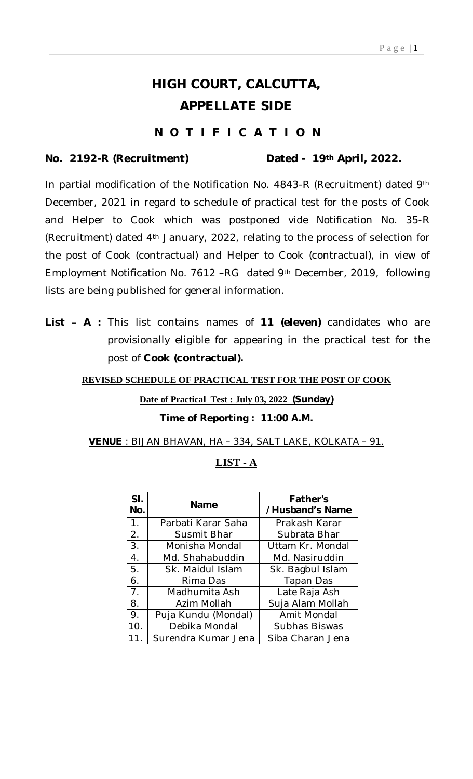# **HIGH COURT, CALCUTTA, APPELLATE SIDE**

## **N O T I F I C A T I O N**

#### **No. 2192-R (Recruitment) Dated - 19th April, 2022.**

In partial modification of the Notification No. 4843-R (Recruitment) dated 9th December, 2021 in regard to schedule of practical test for the posts of Cook and Helper to Cook which was postponed vide Notification No. 35-R (Recruitment) dated 4th January, 2022, relating to the process of selection for the post of Cook (contractual) and Helper to Cook (contractual), in view of Employment Notification No. 7612 –RG dated 9th December, 2019, following lists are being published for general information.

**List – A :** This list contains names of **11 (eleven)** candidates who are provisionally eligible for appearing in the practical test for the post of **Cook (contractual).** 

#### **REVISED SCHEDULE OF PRACTICAL TEST FOR THE POST OF COOK**

#### **Date of Practical Test : July 03, 2022 (Sunday)**

#### **Time of Reporting : 11:00 A.M.**

**VENUE** : BIJAN BHAVAN, HA – 334, SALT LAKE, KOLKATA – 91.

## **LIST - A**

| SI.<br>No.     | Name                | <b>Father's</b><br>/Husband's Name |
|----------------|---------------------|------------------------------------|
| 1.             | Parbati Karar Saha  | Prakash Karar                      |
| 2.             | Susmit Bhar         | Subrata Bhar                       |
| 3.             | Monisha Mondal      | Uttam Kr. Mondal                   |
| 4.             | Md. Shahabuddin     | Md. Nasiruddin                     |
| 5.             | Sk. Maidul Islam    | Sk. Bagbul Islam                   |
| 6.             | Rima Das            | Tapan Das                          |
| 7 <sub>1</sub> | Madhumita Ash       | Late Raja Ash                      |
| 8.             | Azim Mollah         | Suja Alam Mollah                   |
| 9.             | Puja Kundu (Mondal) | Amit Mondal                        |
| 10.            | Debika Mondal       | Subhas Biswas                      |
| 11             | Surendra Kumar Jena | Siba Charan Jena                   |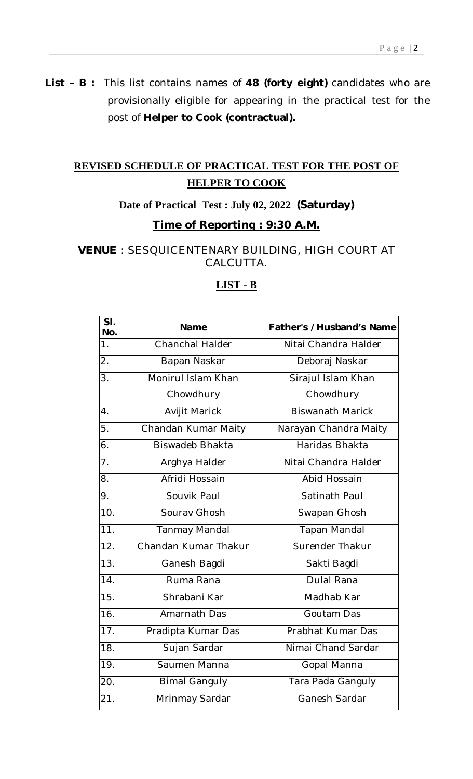**List – B :** This list contains names of **48 (forty eight)** candidates who are provisionally eligible for appearing in the practical test for the post of **Helper to Cook (contractual).** 

# **REVISED SCHEDULE OF PRACTICAL TEST FOR THE POST OF HELPER TO COOK**

#### **Date of Practical Test : July 02, 2022 (Saturday)**

## **Time of Reporting : 9:30 A.M.**

**VENUE** : SESQUICENTENARY BUILDING, HIGH COURT AT CALCUTTA.

| SI.<br>No.        | <b>Name</b>            | Father's /Husband's Name |
|-------------------|------------------------|--------------------------|
| 1.                | Chanchal Halder        | Nitai Chandra Halder     |
| $\overline{2}$ .  | Bapan Naskar           | Deboraj Naskar           |
| 3.                | Monirul Islam Khan     | Sirajul Islam Khan       |
|                   | Chowdhury              | Chowdhury                |
| $\overline{4}$ .  | Avijit Marick          | <b>Biswanath Marick</b>  |
| 5.                | Chandan Kumar Maity    | Narayan Chandra Maity    |
| 6.                | <b>Biswadeb Bhakta</b> | Haridas Bhakta           |
| $\overline{7}$ .  | Arghya Halder          | Nitai Chandra Halder     |
| 8.                | Afridi Hossain         | Abid Hossain             |
| 9.                | Souvik Paul            | Satinath Paul            |
| 10.               | Sourav Ghosh           | Swapan Ghosh             |
| 11.               | Tanmay Mandal          | <b>Tapan Mandal</b>      |
| $\overline{12}$ . | Chandan Kumar Thakur   | Surender Thakur          |
| $\overline{13}$ . | Ganesh Bagdi           | Sakti Bagdi              |
| 14.               | Ruma Rana              | <b>Dulal Rana</b>        |
| 15.               | Shrabani Kar           | Madhab Kar               |
| 16.               | Amarnath Das           | Goutam Das               |
| $\overline{17}$ . | Pradipta Kumar Das     | Prabhat Kumar Das        |
| 18.               | Sujan Sardar           | Nimai Chand Sardar       |
| 19.               | Saumen Manna           | Gopal Manna              |
| 20.               | <b>Bimal Ganguly</b>   | Tara Pada Ganguly        |
| 21.               | Mrinmay Sardar         | Ganesh Sardar            |

### **LIST - B**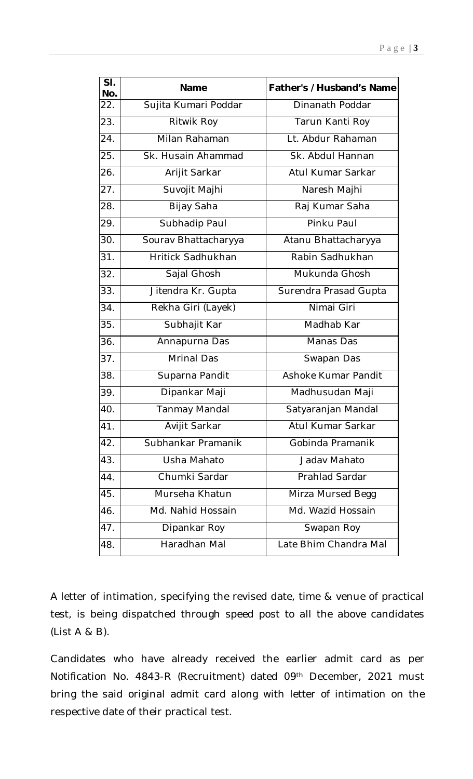| SI.<br>No. | Name                     | <b>Father's /Husband's Name</b> |
|------------|--------------------------|---------------------------------|
| 22.        | Sujita Kumari Poddar     | Dinanath Poddar                 |
| 23.        | Ritwik Roy               | Tarun Kanti Roy                 |
| 24.        | Milan Rahaman            | Lt. Abdur Rahaman               |
| 25.        | Sk. Husain Ahammad       | Sk. Abdul Hannan                |
| 26.        | Arijit Sarkar            | Atul Kumar Sarkar               |
| 27.        | Suvojit Majhi            | Naresh Majhi                    |
| 28.        | Bijay Saha               | Raj Kumar Saha                  |
| 29.        | Subhadip Paul            | Pinku Paul                      |
| 30.        | Sourav Bhattacharyya     | Atanu Bhattacharyya             |
| 31.        | <b>Hritick Sadhukhan</b> | Rabin Sadhukhan                 |
| 32.        | Sajal Ghosh              | Mukunda Ghosh                   |
| 33.        | Jitendra Kr. Gupta       | Surendra Prasad Gupta           |
| 34.        | Rekha Giri (Layek)       | Nimai Giri                      |
| 35.        | Subhajit Kar             | Madhab Kar                      |
| 36.        | Annapurna Das            | Manas Das                       |
| 37.        | <b>Mrinal Das</b>        | Swapan Das                      |
| 38.        | Suparna Pandit           | Ashoke Kumar Pandit             |
| 39.        | Dipankar Maji            | Madhusudan Maji                 |
| 40.        | Tanmay Mandal            | Satyaranjan Mandal              |
| 41.        | Avijit Sarkar            | Atul Kumar Sarkar               |
| 42.        | Subhankar Pramanik       | Gobinda Pramanik                |
| 43.        | Usha Mahato              | Jadav Mahato                    |
| 44.        | Chumki Sardar            | Prahlad Sardar                  |
| 45.        | Murseha Khatun           | Mirza Mursed Begg               |
| 46.        | Md. Nahid Hossain        | Md. Wazid Hossain               |
| 47.        | Dipankar Roy             | Swapan Roy                      |
| 48.        | Haradhan Mal             | Late Bhim Chandra Mal           |

A letter of intimation, specifying the revised date, time & venue of practical test, is being dispatched through speed post to all the above candidates (List A & B).

Candidates who have already received the earlier admit card as per Notification No. 4843-R (Recruitment) dated 09th December, 2021 must bring the said original admit card along with letter of intimation on the respective date of their practical test.